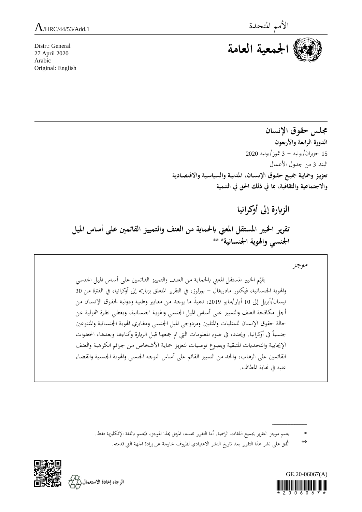

Distr.: General 27 April 2020 Arabic Original: English

> **جملس حقوق اإلنسان الدورة الرابعة واألربعون** 15 حزيران/يونيه - 3 متوز/يوليه 2020 البند 3 من جدول األعمال تعزيز وحماية جميع حقوق الإنسان، المدنية والسياسية والاقتصادية **و اتجاماعقة والثقافقةا مبا يف ذلك احلق يف الانمقة**

> > **الزايرة إىل أوكرانقا**

**تقرير اخلبري انساقل انعين ابحلماية من العنف والامققز القائمني على أساس انقل اجلنسي واهلوية اجلنسانقة\* \*\***

موجز

يقيِّم الخبير المستقل المعني بالحماية من العنف والتمييز القائمين على أساس الميل الجنسي<br>. والهوية الجنسانية، فيكتور مادريغال – بورلوز، في التقرير المتعلق بزيارته إلى أوكرانيا، في الفترة من 30 نيسان/أبريل إلى 10 أيار/مايو 2019، تنفيذَ ما يوجد من معايير وطنية ودولية لحقوق الإنسان من أجل مكافحة العنف والتمييز على أساس الميل الجنسي والهوية الجنسانية، ويعطى نظرة شمولية عن حالة حقوق الإنسان للمثليات والمثليين ومزدوجي الميل الجنسبي ومغايري الهوية الجنسانية والمتنوعين جنسياً في أوكرانيا. ويحدد، في ضوء المعلومات التي تم جمعها قبل الزيارة وأثناءها وبعدها، الخطوات الإيجابية والتحديات المتبقية ويصوغ توصيات لتعزيز حماية الأشخاص من جرائم الكراهية والعنف القائمين على الرهاب، والحد من التمييز القائم على أساس التوجه الجنسي والهوية الجنسية والقضاء عليه في نماية المطاف.

\*\* أتُفق على نشر هذا التقرير بعد تاريخ المروف خارجة عن إرادة الجهة التي قدمته.





ةةةةةةةةةةةةةةةةةةةةةةةةةةةةةةةةةةةةةةةة \* يعمم موجز التقرير بجميع اللغات الرسمية. أما التقرير نفسه، المرفق بمذا الموجز، فيُعمم باللغة الإنكليزية فقط.<br>.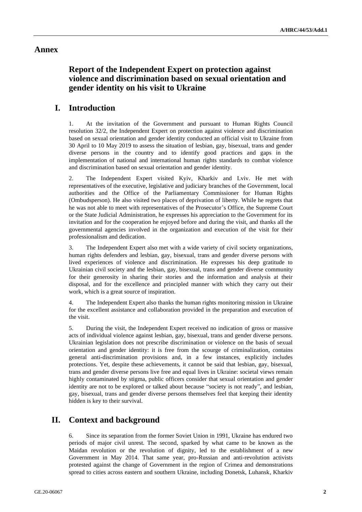# **Annex**

# **Report of the Independent Expert on protection against violence and discrimination based on sexual orientation and gender identity on his visit to Ukraine**

# **I. Introduction**

1. At the invitation of the Government and pursuant to Human Rights Council resolution 32/2, the Independent Expert on protection against violence and discrimination based on sexual orientation and gender identity conducted an official visit to Ukraine from 30 April to 10 May 2019 to assess the situation of lesbian, gay, bisexual, trans and gender diverse persons in the country and to identify good practices and gaps in the implementation of national and international human rights standards to combat violence and discrimination based on sexual orientation and gender identity.

2. The Independent Expert visited Kyiv, Kharkiv and Lviv. He met with representatives of the executive, legislative and judiciary branches of the Government, local authorities and the Office of the Parliamentary Commissioner for Human Rights (Ombudsperson). He also visited two places of deprivation of liberty. While he regrets that he was not able to meet with representatives of the Prosecutor's Office, the Supreme Court or the State Judicial Administration, he expresses his appreciation to the Government for its invitation and for the cooperation he enjoyed before and during the visit, and thanks all the governmental agencies involved in the organization and execution of the visit for their professionalism and dedication.

3. The Independent Expert also met with a wide variety of civil society organizations, human rights defenders and lesbian, gay, bisexual, trans and gender diverse persons with lived experiences of violence and discrimination. He expresses his deep gratitude to Ukrainian civil society and the lesbian, gay, bisexual, trans and gender diverse community for their generosity in sharing their stories and the information and analysis at their disposal, and for the excellence and principled manner with which they carry out their work, which is a great source of inspiration.

4. The Independent Expert also thanks the human rights monitoring mission in Ukraine for the excellent assistance and collaboration provided in the preparation and execution of the visit.

5. During the visit, the Independent Expert received no indication of gross or massive acts of individual violence against lesbian, gay, bisexual, trans and gender diverse persons. Ukrainian legislation does not prescribe discrimination or violence on the basis of sexual orientation and gender identity: it is free from the scourge of criminalization, contains general anti-discrimination provisions and, in a few instances, explicitly includes protections. Yet, despite these achievements, it cannot be said that lesbian, gay, bisexual, trans and gender diverse persons live free and equal lives in Ukraine: societal views remain highly contaminated by stigma, public officers consider that sexual orientation and gender identity are not to be explored or talked about because "society is not ready", and lesbian, gay, bisexual, trans and gender diverse persons themselves feel that keeping their identity hidden is key to their survival.

# **II. Context and background**

6. Since its separation from the former Soviet Union in 1991, Ukraine has endured two periods of major civil unrest. The second, sparked by what came to be known as the Maidan revolution or the revolution of dignity, led to the establishment of a new Government in May 2014. That same year, pro-Russian and anti-revolution activists protested against the change of Government in the region of Crimea and demonstrations spread to cities across eastern and southern Ukraine, including Donetsk, Luhansk, Kharkiv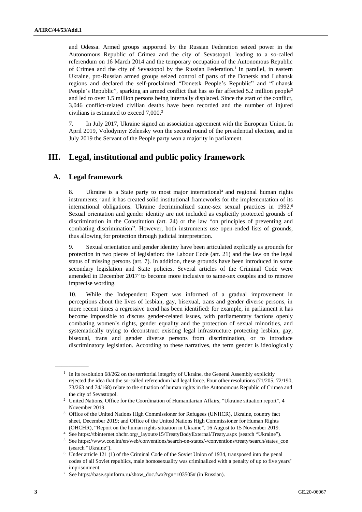and Odessa. Armed groups supported by the Russian Federation seized power in the Autonomous Republic of Crimea and the city of Sevastopol, leading to a so-called referendum on 16 March 2014 and the temporary occupation of the Autonomous Republic of Crimea and the city of Sevastopol by the Russian Federation.<sup>1</sup> In parallel, in eastern Ukraine, pro-Russian armed groups seized control of parts of the Donetsk and Luhansk regions and declared the self-proclaimed "Donetsk People's Republic" and "Luhansk People's Republic", sparking an armed conflict that has so far affected 5.2 million people<sup>2</sup> and led to over 1.5 million persons being internally displaced. Since the start of the conflict, 3,046 conflict-related civilian deaths have been recorded and the number of injured civilians is estimated to exceed 7,000.<sup>3</sup>

7. In July 2017, Ukraine signed an association agreement with the European Union. In April 2019, Volodymyr Zelensky won the second round of the presidential election, and in July 2019 the Servant of the People party won a majority in parliament.

# **III. Legal, institutional and public policy framework**

### **A. Legal framework**

 $\overline{\phantom{a}}$ 

8. Ukraine is a State party to most major international<sup>4</sup> and regional human rights instruments, $5$  and it has created solid institutional frameworks for the implementation of its international obligations. Ukraine decriminalized same-sex sexual practices in 1992.<sup>6</sup> Sexual orientation and gender identity are not included as explicitly protected grounds of discrimination in the Constitution (art. 24) or the law "on principles of preventing and combating discrimination". However, both instruments use open-ended lists of grounds, thus allowing for protection through judicial interpretation.

9. Sexual orientation and gender identity have been articulated explicitly as grounds for protection in two pieces of legislation: the Labour Code (art. 21) and the law on the legal status of missing persons (art. 7). In addition, these grounds have been introduced in some secondary legislation and State policies. Several articles of the Criminal Code were amended in December 2017<sup>7</sup> to become more inclusive to same-sex couples and to remove imprecise wording.

10. While the Independent Expert was informed of a gradual improvement in perceptions about the lives of lesbian, gay, bisexual, trans and gender diverse persons, in more recent times a regressive trend has been identified: for example, in parliament it has become impossible to discuss gender-related issues, with parliamentary factions openly combating women's rights, gender equality and the protection of sexual minorities, and systematically trying to deconstruct existing legal infrastructure protecting lesbian, gay, bisexual, trans and gender diverse persons from discrimination, or to introduce discriminatory legislation. According to these narratives, the term gender is ideologically

<sup>&</sup>lt;sup>1</sup> In its resolution 68/262 on the territorial integrity of Ukraine, the General Assembly explicitly rejected the idea that the so-called referendum had legal force. Four other resolutions (71/205, 72/190, 73/263 and 74/168) relate to the situation of human rights in the Autonomous Republic of Crimea and the city of Sevastopol.

<sup>&</sup>lt;sup>2</sup> United Nations, Office for the Coordination of Humanitarian Affairs, "Ukraine situation report", 4 November 2019.

<sup>&</sup>lt;sup>3</sup> Office of the United Nations High Commissioner for Refugees (UNHCR), Ukraine, country fact sheet, December 2019; and Office of the United Nations High Commissioner for Human Rights (OHCHR), "Report on the human rights situation in Ukraine", 16 August to 15 November 2019.

 $^4\;$  Se[e https://tbinternet.ohchr.org/\\_layouts/15/TreatyBodyExternal/Treaty.aspx](https://tbinternet.ohchr.org/_layouts/15/TreatyBodyExternal/Treaty.aspx) (search "Ukraine").

<sup>5</sup> Se[e https://www.coe.int/en/web/conventions/search-on-states/-/conventions/treaty/search/states\\_coe](https://www.coe.int/en/web/conventions/search-on-states/-/conventions/treaty/search/states_coe) (search "Ukraine").

<sup>6</sup> Under article 121 (1) of the Criminal Code of the Soviet Union of 1934, transposed into the penal codes of all Soviet republics, male homosexuality was criminalized with a penalty of up to five years' imprisonment.

<sup>7</sup> Se[e https://base.spinform.ru/show\\_doc.fwx?rgn=103505#](https://base.spinform.ru/show_doc.fwx?rgn=103505) (in Russian).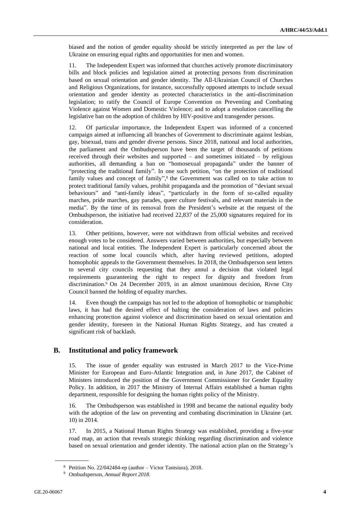biased and the notion of gender equality should be strictly interpreted as per the law of Ukraine on ensuring equal rights and opportunities for men and women.

11. The Independent Expert was informed that churches actively promote discriminatory bills and block policies and legislation aimed at protecting persons from discrimination based on sexual orientation and gender identity. The All-Ukrainian Council of Churches and Religious Organizations, for instance, successfully opposed attempts to include sexual orientation and gender identity as protected characteristics in the anti-discrimination legislation; to ratify the Council of Europe Convention on Preventing and Combating Violence against Women and Domestic Violence; and to adopt a resolution cancelling the legislative ban on the adoption of children by HIV-positive and transgender persons.

12. Of particular importance, the Independent Expert was informed of a concerted campaign aimed at influencing all branches of Government to discriminate against lesbian, gay, bisexual, trans and gender diverse persons. Since 2018, national and local authorities, the parliament and the Ombudsperson have been the target of thousands of petitions received through their websites and supported – and sometimes initiated – by religious authorities, all demanding a ban on "homosexual propaganda" under the banner of "protecting the traditional family". In one such petition, "on the protection of traditional family values and concept of family",<sup>8</sup> the Government was called on to take action to protect traditional family values, prohibit propaganda and the promotion of "deviant sexual behaviours" and "anti-family ideas", "particularly in the form of so-called equality marches, pride marches, gay parades, queer culture festivals, and relevant materials in the media". By the time of its removal from the President's website at the request of the Ombudsperson, the initiative had received 22,837 of the 25,000 signatures required for its consideration.

13. Other petitions, however, were not withdrawn from official websites and received enough votes to be considered. Answers varied between authorities, but especially between national and local entities. The Independent Expert is particularly concerned about the reaction of some local councils which, after having reviewed petitions, adopted homophobic appeals to the Government themselves. In 2018, the Ombudsperson sent letters to several city councils requesting that they annul a decision that violated legal requirements guaranteeing the right to respect for dignity and freedom from discrimination.<sup>9</sup> On 24 December 2019, in an almost unanimous decision, Rivne City Council banned the holding of equality marches.

14. Even though the campaign has not led to the adoption of homophobic or transphobic laws, it has had the desired effect of halting the consideration of laws and policies enhancing protection against violence and discrimination based on sexual orientation and gender identity, foreseen in the National Human Rights Strategy, and has created a significant risk of backlash.

### **B. Institutional and policy framework**

15. The issue of gender equality was entrusted in March 2017 to the Vice-Prime Minister for European and Euro-Atlantic Integration and, in June 2017, the Cabinet of Ministers introduced the position of the Government Commissioner for Gender Equality Policy. In addition, in 2017 the Ministry of Internal Affairs established a human rights department, responsible for designing the human rights policy of the Ministry.

16. The Ombudsperson was established in 1998 and became the national equality body with the adoption of the law on preventing and combating discrimination in Ukraine (art. 10) in 2014.

17. In 2015, a National Human Rights Strategy was established, providing a five-year road map, an action that reveals strategic thinking regarding discrimination and violence based on sexual orientation and gender identity. The national action plan on the Strategy's

<sup>8</sup> Petition No. 22/042484-ep (author – Victor Tantsiura), 2018.

<sup>9</sup> Ombudsperson, *Annual Report 2018*.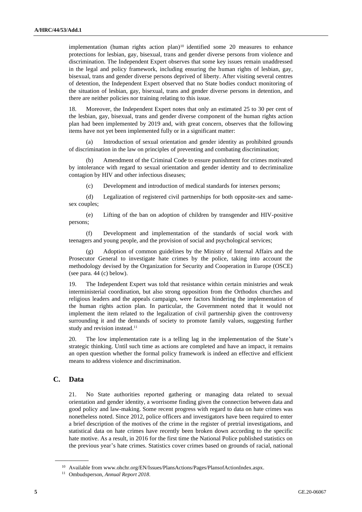implementation (human rights action plan)<sup>10</sup> identified some 20 measures to enhance protections for lesbian, gay, bisexual, trans and gender diverse persons from violence and discrimination. The Independent Expert observes that some key issues remain unaddressed in the legal and policy framework, including ensuring the human rights of lesbian, gay, bisexual, trans and gender diverse persons deprived of liberty. After visiting several centres of detention, the Independent Expert observed that no State bodies conduct monitoring of the situation of lesbian, gay, bisexual, trans and gender diverse persons in detention, and there are neither policies nor training relating to this issue.

18. Moreover, the Independent Expert notes that only an estimated 25 to 30 per cent of the lesbian, gay, bisexual, trans and gender diverse component of the human rights action plan had been implemented by 2019 and, with great concern, observes that the following items have not yet been implemented fully or in a significant matter:

(a) Introduction of sexual orientation and gender identity as prohibited grounds of discrimination in the law on principles of preventing and combating discrimination;

(b) Amendment of the Criminal Code to ensure punishment for crimes motivated by intolerance with regard to sexual orientation and gender identity and to decriminalize contagion by HIV and other infectious diseases;

(c) Development and introduction of medical standards for intersex persons;

(d) Legalization of registered civil partnerships for both opposite-sex and samesex couples;

(e) Lifting of the ban on adoption of children by transgender and HIV-positive persons;

(f) Development and implementation of the standards of social work with teenagers and young people, and the provision of social and psychological services;

(g) Adoption of common guidelines by the Ministry of Internal Affairs and the Prosecutor General to investigate hate crimes by the police, taking into account the methodology devised by the Organization for Security and Cooperation in Europe (OSCE) (see para. 44 (c) below).

19. The Independent Expert was told that resistance within certain ministries and weak interministerial coordination, but also strong opposition from the Orthodox churches and religious leaders and the appeals campaign, were factors hindering the implementation of the human rights action plan. In particular, the Government noted that it would not implement the item related to the legalization of civil partnership given the controversy surrounding it and the demands of society to promote family values, suggesting further study and revision instead.<sup>11</sup>

20. The low implementation rate is a telling lag in the implementation of the State's strategic thinking. Until such time as actions are completed and have an impact, it remains an open question whether the formal policy framework is indeed an effective and efficient means to address violence and discrimination.

### **C. Data**

 $\overline{\phantom{a}}$ 

21. No State authorities reported gathering or managing data related to sexual orientation and gender identity, a worrisome finding given the connection between data and good policy and law-making. Some recent progress with regard to data on hate crimes was nonetheless noted. Since 2012, police officers and investigators have been required to enter a brief description of the motives of the crime in the register of pretrial investigations, and statistical data on hate crimes have recently been broken down according to the specific hate motive. As a result, in 2016 for the first time the National Police published statistics on the previous year's hate crimes. Statistics cover crimes based on grounds of racial, national

<sup>&</sup>lt;sup>10</sup> Available fro[m www.ohchr.org/EN/Issues/PlansActions/Pages/PlansofActionIndex.aspx.](https://www.ohchr.org/EN/Issues/PlansActions/Pages/PlansofActionIndex.aspx)

<sup>11</sup> Ombudsperson, *Annual Report 2018*.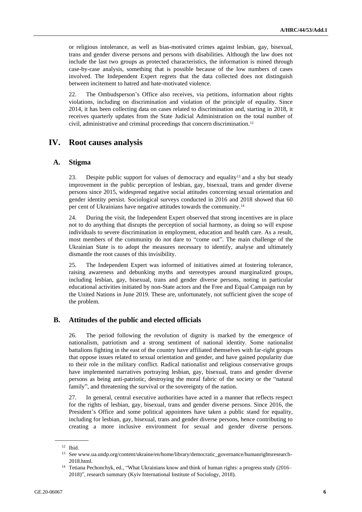or religious intolerance, as well as bias-motivated crimes against lesbian, gay, bisexual, trans and gender diverse persons and persons with disabilities. Although the law does not include the last two groups as protected characteristics, the information is mined through case-by-case analysis, something that is possible because of the low numbers of cases involved. The Independent Expert regrets that the data collected does not distinguish between incitement to hatred and hate-motivated violence.

22. The Ombudsperson's Office also receives, via petitions, information about rights violations, including on discrimination and violation of the principle of equality. Since 2014, it has been collecting data on cases related to discrimination and, starting in 2018, it receives quarterly updates from the State Judicial Administration on the total number of civil, administrative and criminal proceedings that concern discrimination.<sup>12</sup>

# **IV. Root causes analysis**

#### **A. Stigma**

23. Despite public support for values of democracy and equality<sup>13</sup> and a shy but steady improvement in the public perception of lesbian, gay, bisexual, trans and gender diverse persons since 2015, widespread negative social attitudes concerning sexual orientation and gender identity persist. Sociological surveys conducted in 2016 and 2018 showed that 60 per cent of Ukrainians have negative attitudes towards the community.<sup>14</sup>

24. During the visit, the Independent Expert observed that strong incentives are in place not to do anything that disrupts the perception of social harmony, as doing so will expose individuals to severe discrimination in employment, education and health care. As a result, most members of the community do not dare to "come out". The main challenge of the Ukrainian State is to adopt the measures necessary to identify, analyse and ultimately dismantle the root causes of this invisibility.

25. The Independent Expert was informed of initiatives aimed at fostering tolerance, raising awareness and debunking myths and stereotypes around marginalized groups, including lesbian, gay, bisexual, trans and gender diverse persons, noting in particular educational activities initiated by non-State actors and the Free and Equal Campaign run by the United Nations in June 2019. These are, unfortunately, not sufficient given the scope of the problem.

## **B. Attitudes of the public and elected officials**

26. The period following the revolution of dignity is marked by the emergence of nationalism, patriotism and a strong sentiment of national identity. Some nationalist battalions fighting in the east of the country have affiliated themselves with far-right groups that oppose issues related to sexual orientation and gender, and have gained popularity due to their role in the military conflict. Radical nationalist and religious conservative groups have implemented narratives portraying lesbian, gay, bisexual, trans and gender diverse persons as being anti-patriotic, destroying the moral fabric of the society or the "natural family", and threatening the survival or the sovereignty of the nation.

27. In general, central executive authorities have acted in a manner that reflects respect for the rights of lesbian, gay, bisexual, trans and gender diverse persons. Since 2016, the President's Office and some political appointees have taken a public stand for equality, including for lesbian, gay, bisexual, trans and gender diverse persons, hence contributing to creating a more inclusive environment for sexual and gender diverse persons.

 $\overline{\phantom{a}}$  $12$  Ibid.

<sup>13</sup> Se[e www.ua.undp.org/content/ukraine/en/home/library/democratic\\_governance/humanrightsresearch-](http://www.ua.undp.org/content/ukraine/en/home/library/democratic_governance/humanrightsresearch-2018.html)[2018.html.](http://www.ua.undp.org/content/ukraine/en/home/library/democratic_governance/humanrightsresearch-2018.html)

<sup>14</sup> Tetiana Pechonchyk, ed., "What Ukrainians know and think of human rights: a progress study (2016– 2018)", research summary (Kyiv International Institute of Sociology, 2018).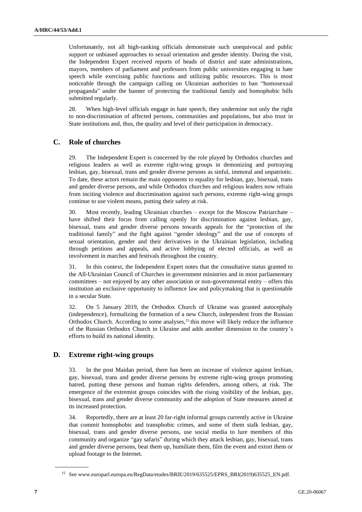Unfortunately, not all high-ranking officials demonstrate such unequivocal and public support or unbiased approaches to sexual orientation and gender identity. During the visit, the Independent Expert received reports of heads of district and state administrations, mayors, members of parliament and professors from public universities engaging in hate speech while exercising public functions and utilizing public resources. This is most noticeable through the campaign calling on Ukrainian authorities to ban "homosexual propaganda" under the banner of protecting the traditional family and homophobic bills submitted regularly.

28. When high-level officials engage in hate speech, they undermine not only the right to non-discrimination of affected persons, communities and populations, but also trust in State institutions and, thus, the quality and level of their participation in democracy.

# **C. Role of churches**

29. The Independent Expert is concerned by the role played by Orthodox churches and religious leaders as well as extreme right-wing groups in demonizing and portraying lesbian, gay, bisexual, trans and gender diverse persons as sinful, immoral and unpatriotic. To date, these actors remain the main opponents to equality for lesbian, gay, bisexual, trans and gender diverse persons, and while Orthodox churches and religious leaders now refrain from inciting violence and discrimination against such persons, extreme right-wing groups continue to use violent means, putting their safety at risk.

30. Most recently, leading Ukrainian churches – except for the Moscow Patriarchate – have shifted their focus from calling openly for discrimination against lesbian, gay, bisexual, trans and gender diverse persons towards appeals for the "protection of the traditional family" and the fight against "gender ideology" and the use of concepts of sexual orientation, gender and their derivatives in the Ukrainian legislation, including through petitions and appeals, and active lobbying of elected officials, as well as involvement in marches and festivals throughout the country.

31. In this context, the Independent Expert notes that the consultative status granted to the All-Ukrainian Council of Churches in government ministries and in most parliamentary committees – not enjoyed by any other association or non-governmental entity – offers this institution an exclusive opportunity to influence law and policymaking that is questionable in a secular State.

32. On 5 January 2019, the Orthodox Church of Ukraine was granted autocephaly (independence), formalizing the formation of a new Church, independent from the Russian Orthodox Church. According to some analyses,<sup>15</sup> this move will likely reduce the influence of the Russian Orthodox Church in Ukraine and adds another dimension to the country's efforts to build its national identity.

### **D. Extreme right-wing groups**

33. In the post Maidan period, there has been an increase of violence against lesbian, gay, bisexual, trans and gender diverse persons by extreme right-wing groups promoting hatred, putting these persons and human rights defenders, among others, at risk. The emergence of the extremist groups coincides with the rising visibility of the lesbian, gay, bisexual, trans and gender diverse community and the adoption of State measures aimed at its increased protection.

34. Reportedly, there are at least 20 far-right informal groups currently active in Ukraine that commit homophobic and transphobic crimes, and some of them stalk lesbian, gay, bisexual, trans and gender diverse persons, use social media to lure members of this community and organize "gay safaris" during which they attack lesbian, gay, bisexual, trans and gender diverse persons, beat them up, humiliate them, film the event and extort them or upload footage to the Internet.

 $\overline{\phantom{a}}$   $\overline{\phantom{a}}$ 

<sup>15</sup> See [www.europarl.europa.eu/RegData/etudes/BRIE/2019/635525/EPRS\\_BRI\(2019\)635525\\_EN.pdf.](http://www.europarl.europa.eu/RegData/etudes/BRIE/2019/635525/EPRS_BRI(2019)635525_EN.pdf)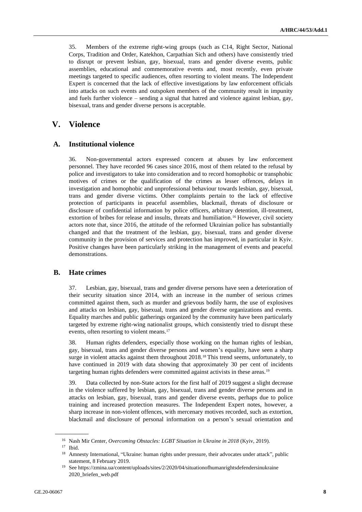35. Members of the extreme right-wing groups (such as C14, Right Sector, National Corps, Tradition and Order, Katekhon, Carpathian Sich and others) have consistently tried to disrupt or prevent lesbian, gay, bisexual, trans and gender diverse events, public assemblies, educational and commemorative events and, most recently, even private meetings targeted to specific audiences, often resorting to violent means. The Independent Expert is concerned that the lack of effective investigations by law enforcement officials into attacks on such events and outspoken members of the community result in impunity and fuels further violence – sending a signal that hatred and violence against lesbian, gay, bisexual, trans and gender diverse persons is acceptable.

# **V. Violence**

#### **A. Institutional violence**

36. Non-governmental actors expressed concern at abuses by law enforcement personnel. They have recorded 96 cases since 2016, most of them related to the refusal by police and investigators to take into consideration and to record homophobic or transphobic motives of crimes or the qualification of the crimes as lesser offences, delays in investigation and homophobic and unprofessional behaviour towards lesbian, gay, bisexual, trans and gender diverse victims. Other complaints pertain to the lack of effective protection of participants in peaceful assemblies, blackmail, threats of disclosure or disclosure of confidential information by police officers, arbitrary detention, ill-treatment, extortion of bribes for release and insults, threats and humiliation.<sup>16</sup> However, civil society actors note that, since 2016, the attitude of the reformed Ukrainian police has substantially changed and that the treatment of the lesbian, gay, bisexual, trans and gender diverse community in the provision of services and protection has improved, in particular in Kyiv. Positive changes have been particularly striking in the management of events and peaceful demonstrations.

#### **B. Hate crimes**

37. Lesbian, gay, bisexual, trans and gender diverse persons have seen a deterioration of their security situation since 2014, with an increase in the number of serious crimes committed against them, such as murder and grievous bodily harm, the use of explosives and attacks on lesbian, gay, bisexual, trans and gender diverse organizations and events. Equality marches and public gatherings organized by the community have been particularly targeted by extreme right-wing nationalist groups, which consistently tried to disrupt these events, often resorting to violent means.<sup>17</sup>

38. Human rights defenders, especially those working on the human rights of lesbian, gay, bisexual, trans and gender diverse persons and women's equality, have seen a sharp surge in violent attacks against them throughout 2018.<sup>18</sup> This trend seems, unfortunately, to have continued in 2019 with data showing that approximately 30 per cent of incidents targeting human rights defenders were committed against activists in these areas.<sup>19</sup>

39. Data collected by non-State actors for the first half of 2019 suggest a slight decrease in the violence suffered by lesbian, gay, bisexual, trans and gender diverse persons and in attacks on lesbian, gay, bisexual, trans and gender diverse events, perhaps due to police training and increased protection measures. The Independent Expert notes, however, a sharp increase in non-violent offences, with mercenary motives recorded, such as extortion, blackmail and disclosure of personal information on a person's sexual orientation and

<sup>16</sup> Nash Mir Center, *Overcoming Obstacles: LGBT Situation in Ukraine in 2018* (Kyiv, 2019). <sup>17</sup> Ibid.

<sup>&</sup>lt;sup>18</sup> Amnesty International, "Ukraine: human rights under pressure, their advocates under attack", public statement, 8 February 2019.

<sup>19</sup> Se[e https://zmina.ua/content/uploads/sites/2/2020/04/situationofhumanrightsdefendersinukraine](https://zmina.ua/content/uploads/sites/2/2020/04/situationofhumanrightsdefendersinukraine2020_briefen_web.pdf) [2020\\_briefen\\_web.pdf](https://zmina.ua/content/uploads/sites/2/2020/04/situationofhumanrightsdefendersinukraine2020_briefen_web.pdf)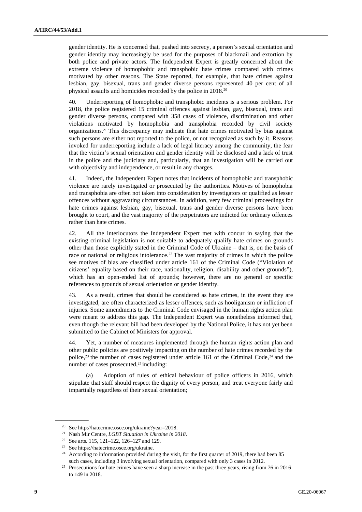gender identity. He is concerned that, pushed into secrecy, a person's sexual orientation and gender identity may increasingly be used for the purposes of blackmail and extortion by both police and private actors. The Independent Expert is greatly concerned about the extreme violence of homophobic and transphobic hate crimes compared with crimes motivated by other reasons. The State reported, for example, that hate crimes against lesbian, gay, bisexual, trans and gender diverse persons represented 40 per cent of all physical assaults and homicides recorded by the police in 2018.<sup>20</sup>

40. Underreporting of homophobic and transphobic incidents is a serious problem. For 2018, the police registered 15 criminal offences against lesbian, gay, bisexual, trans and gender diverse persons, compared with 358 cases of violence, discrimination and other violations motivated by homophobia and transphobia recorded by civil society organizations.<sup>21</sup> This discrepancy may indicate that hate crimes motivated by bias against such persons are either not reported to the police, or not recognized as such by it. Reasons invoked for underreporting include a lack of legal literacy among the community, the fear that the victim's sexual orientation and gender identity will be disclosed and a lack of trust in the police and the judiciary and, particularly, that an investigation will be carried out with objectivity and independence, or result in any charges.

41. Indeed, the Independent Expert notes that incidents of homophobic and transphobic violence are rarely investigated or prosecuted by the authorities. Motives of homophobia and transphobia are often not taken into consideration by investigators or qualified as lesser offences without aggravating circumstances. In addition, very few criminal proceedings for hate crimes against lesbian, gay, bisexual, trans and gender diverse persons have been brought to court, and the vast majority of the perpetrators are indicted for ordinary offences rather than hate crimes.

42. All the interlocutors the Independent Expert met with concur in saying that the existing criminal legislation is not suitable to adequately qualify hate crimes on grounds other than those explicitly stated in the Criminal Code of Ukraine – that is, on the basis of race or national or religious intolerance.<sup>22</sup> The vast majority of crimes in which the police see motives of bias are classified under article 161 of the Criminal Code ("Violation of citizens' equality based on their race, nationality, religion, disability and other grounds"), which has an open-ended list of grounds; however, there are no general or specific references to grounds of sexual orientation or gender identity.

43. As a result, crimes that should be considered as hate crimes, in the event they are investigated, are often characterized as lesser offences, such as hooliganism or infliction of injuries. Some amendments to the Criminal Code envisaged in the human rights action plan were meant to address this gap. The Independent Expert was nonetheless informed that, even though the relevant bill had been developed by the National Police, it has not yet been submitted to the Cabinet of Ministers for approval.

44. Yet, a number of measures implemented through the human rights action plan and other public policies are positively impacting on the number of hate crimes recorded by the police,<sup>23</sup> the number of cases registered under article 161 of the Criminal Code, $24$  and the number of cases prosecuted,<sup>25</sup> including:

(a) Adoption of rules of ethical behaviour of police officers in 2016, which stipulate that staff should respect the dignity of every person, and treat everyone fairly and impartially regardless of their sexual orientation;

<sup>20</sup> Se[e http://hatecrime.osce.org/ukraine?year=2018.](http://hatecrime.osce.org/ukraine?year=2018)

<sup>21</sup> Nash Mir Centre, *LGBT Situation in Ukraine in 2018*.

<sup>22</sup> See arts. 115, 121–122, 126–127 and 129.

<sup>23</sup> See [https://hatecrime.osce.org/ukraine.](https://hatecrime.osce.org/ukraine)

<sup>&</sup>lt;sup>24</sup> According to information provided during the visit, for the first quarter of 2019, there had been 85 such cases, including 3 involving sexual orientation, compared with only 3 cases in 2012.

<sup>&</sup>lt;sup>25</sup> Prosecutions for hate crimes have seen a sharp increase in the past three years, rising from 76 in 2016 to 149 in 2018.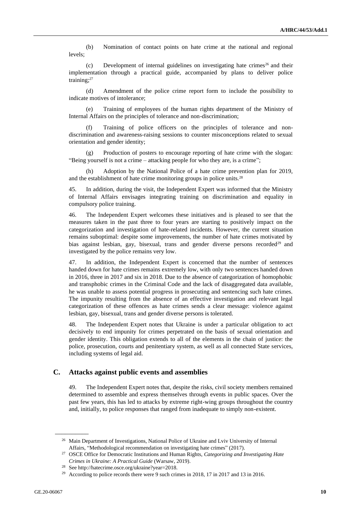(b) Nomination of contact points on hate crime at the national and regional levels;

(c) Development of internal guidelines on investigating hate crimes<sup>26</sup> and their implementation through a practical guide, accompanied by plans to deliver police training;<sup>27</sup>

(d) Amendment of the police crime report form to include the possibility to indicate motives of intolerance;

(e) Training of employees of the human rights department of the Ministry of Internal Affairs on the principles of tolerance and non-discrimination;

(f) Training of police officers on the principles of tolerance and nondiscrimination and awareness-raising sessions to counter misconceptions related to sexual orientation and gender identity;

Production of posters to encourage reporting of hate crime with the slogan: "Being yourself is not a crime – attacking people for who they are, is a crime";

(h) Adoption by the National Police of a hate crime prevention plan for 2019, and the establishment of hate crime monitoring groups in police units.<sup>28</sup>

45. In addition, during the visit, the Independent Expert was informed that the Ministry of Internal Affairs envisages integrating training on discrimination and equality in compulsory police training.

46. The Independent Expert welcomes these initiatives and is pleased to see that the measures taken in the past three to four years are starting to positively impact on the categorization and investigation of hate-related incidents. However, the current situation remains suboptimal: despite some improvements, the number of hate crimes motivated by bias against lesbian, gay, bisexual, trans and gender diverse persons recorded<sup>29</sup> and investigated by the police remains very low.

47. In addition, the Independent Expert is concerned that the number of sentences handed down for hate crimes remains extremely low, with only two sentences handed down in 2016, three in 2017 and six in 2018. Due to the absence of categorization of homophobic and transphobic crimes in the Criminal Code and the lack of disaggregated data available, he was unable to assess potential progress in prosecuting and sentencing such hate crimes. The impunity resulting from the absence of an effective investigation and relevant legal categorization of these offences as hate crimes sends a clear message: violence against lesbian, gay, bisexual, trans and gender diverse persons is tolerated.

48. The Independent Expert notes that Ukraine is under a particular obligation to act decisively to end impunity for crimes perpetrated on the basis of sexual orientation and gender identity. This obligation extends to all of the elements in the chain of justice: the police, prosecution, courts and penitentiary system, as well as all connected State services, including systems of legal aid.

#### **C. Attacks against public events and assemblies**

49. The Independent Expert notes that, despite the risks, civil society members remained determined to assemble and express themselves through events in public spaces. Over the past few years, this has led to attacks by extreme right-wing groups throughout the country and, initially, to police responses that ranged from inadequate to simply non-existent.

<sup>&</sup>lt;sup>26</sup> Main Department of Investigations, National Police of Ukraine and Lviv University of Internal Affairs, "Methodological recommendation on investigating hate crimes" (2017).

<sup>27</sup> OSCE Office for Democratic Institutions and Human Rights, *Categorizing and Investigating Hate Crimes in Ukraine: A Practical Guide* (Warsaw, 2019).

<sup>28</sup> See http://hatecrime.osce.org/ukraine?year=2018.

<sup>&</sup>lt;sup>29</sup> According to police records there were 9 such crimes in 2018, 17 in 2017 and 13 in 2016.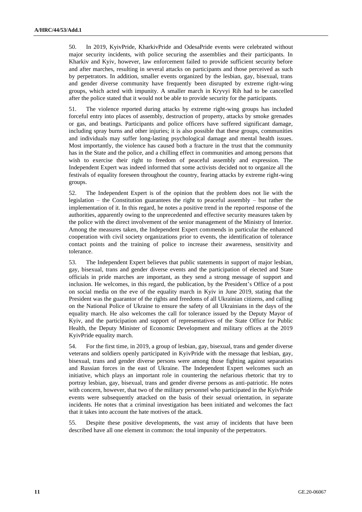50. In 2019, KyivPride, KharkivPride and OdesaPride events were celebrated without major security incidents, with police securing the assemblies and their participants. In Kharkiv and Kyiv, however, law enforcement failed to provide sufficient security before and after marches, resulting in several attacks on participants and those perceived as such by perpetrators. In addition, smaller events organized by the lesbian, gay, bisexual, trans and gender diverse community have frequently been disrupted by extreme right-wing groups, which acted with impunity. A smaller march in Kryvyi Rih had to be cancelled after the police stated that it would not be able to provide security for the participants.

51. The violence reported during attacks by extreme right-wing groups has included forceful entry into places of assembly, destruction of property, attacks by smoke grenades or gas, and beatings. Participants and police officers have suffered significant damage, including spray burns and other injuries; it is also possible that these groups, communities and individuals may suffer long-lasting psychological damage and mental health issues. Most importantly, the violence has caused both a fracture in the trust that the community has in the State and the police, and a chilling effect in communities and among persons that wish to exercise their right to freedom of peaceful assembly and expression. The Independent Expert was indeed informed that some activists decided not to organize all the festivals of equality foreseen throughout the country, fearing attacks by extreme right-wing groups.

52. The Independent Expert is of the opinion that the problem does not lie with the legislation – the Constitution guarantees the right to peaceful assembly – but rather the implementation of it. In this regard, he notes a positive trend in the reported response of the authorities, apparently owing to the unprecedented and effective security measures taken by the police with the direct involvement of the senior management of the Ministry of Interior. Among the measures taken, the Independent Expert commends in particular the enhanced cooperation with civil society organizations prior to events, the identification of tolerance contact points and the training of police to increase their awareness, sensitivity and tolerance.

53. The Independent Expert believes that public statements in support of major lesbian, gay, bisexual, trans and gender diverse events and the participation of elected and State officials in pride marches are important, as they send a strong message of support and inclusion. He welcomes, in this regard, the publication, by the President's Office of a post on social media on the eve of the equality march in Kyiv in June 2019, stating that the President was the guarantor of the rights and freedoms of all Ukrainian citizens, and calling on the National Police of Ukraine to ensure the safety of all Ukrainians in the days of the equality march. He also welcomes the call for tolerance issued by the Deputy Mayor of Kyiv, and the participation and support of representatives of the State Office for Public Health, the Deputy Minister of Economic Development and military offices at the 2019 KyivPride equality march.

54. For the first time, in 2019, a group of lesbian, gay, bisexual, trans and gender diverse veterans and soldiers openly participated in KyivPride with the message that lesbian, gay, bisexual, trans and gender diverse persons were among those fighting against separatists and Russian forces in the east of Ukraine. The Independent Expert welcomes such an initiative, which plays an important role in countering the nefarious rhetoric that try to portray lesbian, gay, bisexual, trans and gender diverse persons as anti-patriotic. He notes with concern, however, that two of the military personnel who participated in the KyivPride events were subsequently attacked on the basis of their sexual orientation, in separate incidents. He notes that a criminal investigation has been initiated and welcomes the fact that it takes into account the hate motives of the attack.

55. Despite these positive developments, the vast array of incidents that have been described have all one element in common: the total impunity of the perpetrators.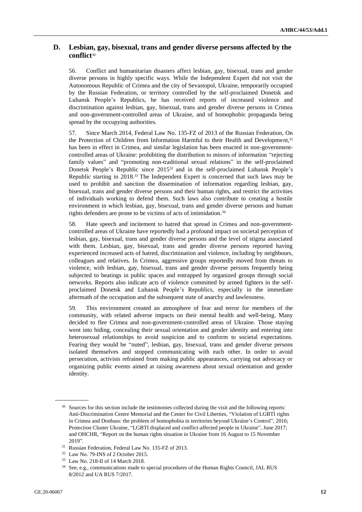## **D. Lesbian, gay, bisexual, trans and gender diverse persons affected by the conflict**<sup>30</sup>

56. Conflict and humanitarian disasters affect lesbian, gay, bisexual, trans and gender diverse persons in highly specific ways. While the Independent Expert did not visit the Autonomous Republic of Crimea and the city of Sevastopol, Ukraine, temporarily occupied by the Russian Federation, or territory controlled by the self-proclaimed Donetsk and Luhansk People's Republics, he has received reports of increased violence and discrimination against lesbian, gay, bisexual, trans and gender diverse persons in Crimea and non-government-controlled areas of Ukraine, and of homophobic propaganda being spread by the occupying authorities.

57. Since March 2014, Federal Law No. 135-FZ of 2013 of the Russian Federation, On the Protection of Children from Information Harmful to their Health and Development,<sup>31</sup> has been in effect in Crimea, and similar legislation has been enacted in non-governmentcontrolled areas of Ukraine: prohibiting the distribution to minors of information "rejecting family values" and "promoting non-traditional sexual relations" in the self-proclaimed Donetsk People's Republic since 2015<sup>32</sup> and in the self-proclaimed Luhansk People's Republic starting in 2018.<sup>33</sup> The Independent Expert is concerned that such laws may be used to prohibit and sanction the dissemination of information regarding lesbian, gay, bisexual, trans and gender diverse persons and their human rights, and restrict the activities of individuals working to defend them. Such laws also contribute to creating a hostile environment in which lesbian, gay, bisexual, trans and gender diverse persons and human rights defenders are prone to be victims of acts of intimidation.<sup>34</sup>

58. Hate speech and incitement to hatred that spread in Crimea and non-governmentcontrolled areas of Ukraine have reportedly had a profound impact on societal perception of lesbian, gay, bisexual, trans and gender diverse persons and the level of stigma associated with them. Lesbian, gay, bisexual, trans and gender diverse persons reported having experienced increased acts of hatred, discrimination and violence, including by neighbours, colleagues and relatives. In Crimea, aggressive groups reportedly moved from threats to violence, with lesbian, gay, bisexual, trans and gender diverse persons frequently being subjected to beatings in public spaces and entrapped by organized groups through social networks. Reports also indicate acts of violence committed by armed fighters in the selfproclaimed Donetsk and Luhansk People's Republics, especially in the immediate aftermath of the occupation and the subsequent state of anarchy and lawlessness.

59. This environment created an atmosphere of fear and terror for members of the community, with related adverse impacts on their mental health and well-being. Many decided to flee Crimea and non-government-controlled areas of Ukraine. Those staying went into hiding, concealing their sexual orientation and gender identity and entering into heterosexual relationships to avoid suspicion and to conform to societal expectations. Fearing they would be "outed", lesbian, gay, bisexual, trans and gender diverse persons isolated themselves and stopped communicating with each other. In order to avoid persecution, activists refrained from making public appearances, carrying out advocacy or organizing public events aimed at raising awareness about sexual orientation and gender identity.

<sup>&</sup>lt;sup>30</sup> Sources for this section include the testimonies collected during the visit and the following reports: Anti-Discrimination Centre Memorial and the Center for Civil Liberties, "Violation of LGBTI rights in Crimea and Donbass: the problem of homophobia in territories beyond Ukraine's Control", 2016; Protection Cluster Ukraine, "LGBTI displaced and conflict-affected people in Ukraine", June 2017; and OHCHR, "Report on the human rights situation in Ukraine from 16 August to 15 November 2019".

<sup>31</sup> Russian Federation, Federal Law No. 135-FZ of 2013.

<sup>32</sup> Law No. 79-INS of 2 October 2015.

<sup>33</sup> Law No. 218-II of 14 March 2018.

<sup>34</sup> See, e.g., communications made to special procedures of the Human Rights Council, JA[L RUS](https://spcommreports.ohchr.org/TMResultsBase/DownLoadPublicCommunicationFile?gId=18822)  [8/2012](https://spcommreports.ohchr.org/TMResultsBase/DownLoadPublicCommunicationFile?gId=18822) and [UA RUS 7/2017.](file://///fshq/APB/SOGI/03.%20Country%20visits/UKRAINE/Report/spcommreports.ohchr.org/TMResultsBase/DownLoadPublicCommunicationFile%3fgId=23357)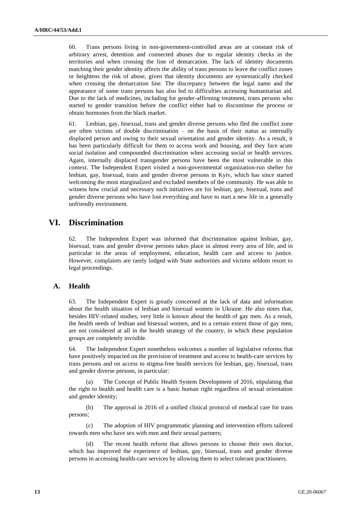60. Trans persons living in non-government-controlled areas are at constant risk of arbitrary arrest, detention and connected abuses due to regular identity checks in the territories and when crossing the line of demarcation. The lack of identity documents matching their gender identity affects the ability of trans persons to leave the conflict zones or heightens the risk of abuse, given that identity documents are systematically checked when crossing the demarcation line. The discrepancy between the legal name and the appearance of some trans persons has also led to difficulties accessing humanitarian aid. Due to the lack of medicines, including for gender-affirming treatment, trans persons who started to gender transition before the conflict either had to discontinue the process or obtain hormones from the black market.

61. Lesbian, gay, bisexual, trans and gender diverse persons who fled the conflict zone are often victims of double discrimination – on the basis of their status as internally displaced person and owing to their sexual orientation and gender identity. As a result, it has been particularly difficult for them to access work and housing, and they face acute social isolation and compounded discrimination when accessing social or health services. Again, internally displaced transgender persons have been the most vulnerable in this context. The Independent Expert visited a non-governmental organization-run shelter for lesbian, gay, bisexual, trans and gender diverse persons in Kyiv, which has since started welcoming the most marginalized and excluded members of the community. He was able to witness how crucial and necessary such initiatives are for lesbian, gay, bisexual, trans and gender diverse persons who have lost everything and have to start a new life in a generally unfriendly environment.

# **VI. Discrimination**

62. The Independent Expert was informed that discrimination against lesbian, gay, bisexual, trans and gender diverse persons takes place in almost every area of life, and in particular in the areas of employment, education, health care and access to justice. However, complaints are rarely lodged with State authorities and victims seldom resort to legal proceedings.

# **A. Health**

63. The Independent Expert is greatly concerned at the lack of data and information about the health situation of lesbian and bisexual women in Ukraine. He also notes that, besides HIV-related studies, very little is known about the health of gay men. As a result, the health needs of lesbian and bisexual women, and to a certain extent those of gay men, are not considered at all in the health strategy of the country, in which these population groups are completely invisible.

64. The Independent Expert nonetheless welcomes a number of legislative reforms that have positively impacted on the provision of treatment and access to health-care services by trans persons and on access to stigma-free health services for lesbian, gay, bisexual, trans and gender diverse persons, in particular:

(a) The Concept of Public Health System Development of 2016, stipulating that the right to health and health care is a basic human right regardless of sexual orientation and gender identity;

(b) The approval in 2016 of a unified clinical protocol of medical care for trans persons;

(c) The adoption of HIV programmatic planning and intervention efforts tailored towards men who have sex with men and their sexual partners;

(d) The recent health reform that allows persons to choose their own doctor, which has improved the experience of lesbian, gay, bisexual, trans and gender diverse persons in accessing health-care services by allowing them to select tolerant practitioners.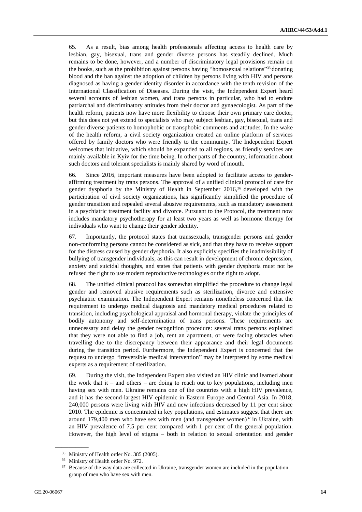65. As a result, bias among health professionals affecting access to health care by lesbian, gay, bisexual, trans and gender diverse persons has steadily declined. Much remains to be done, however, and a number of discriminatory legal provisions remain on the books, such as the prohibition against persons having "homosexual relations" <sup>35</sup> donating blood and the ban against the adoption of children by persons living with HIV and persons diagnosed as having a gender identity disorder in accordance with the tenth revision of the International Classification of Diseases. During the visit, the Independent Expert heard several accounts of lesbian women, and trans persons in particular, who had to endure patriarchal and discriminatory attitudes from their doctor and gynaecologist. As part of the health reform, patients now have more flexibility to choose their own primary care doctor, but this does not yet extend to specialists who may subject lesbian, gay, bisexual, trans and gender diverse patients to homophobic or transphobic comments and attitudes. In the wake of the health reform, a civil society organization created an online platform of services offered by family doctors who were friendly to the community. The Independent Expert welcomes that initiative, which should be expanded to all regions, as friendly services are mainly available in Kyiv for the time being. In other parts of the country, information about such doctors and tolerant specialists is mainly shared by word of mouth.

66. Since 2016, important measures have been adopted to facilitate access to genderaffirming treatment by trans persons. The approval of a unified clinical protocol of care for gender dysphoria by the Ministry of Health in September 2016,<sup>36</sup> developed with the participation of civil society organizations, has significantly simplified the procedure of gender transition and repealed several abusive requirements, such as mandatory assessment in a psychiatric treatment facility and divorce. Pursuant to the Protocol, the treatment now includes mandatory psychotherapy for at least two years as well as hormone therapy for individuals who want to change their gender identity.

67. Importantly, the protocol states that transsexuals, transgender persons and gender non-conforming persons cannot be considered as sick, and that they have to receive support for the distress caused by gender dysphoria. It also explicitly specifies the inadmissibility of bullying of transgender individuals, as this can result in development of chronic depression, anxiety and suicidal thoughts, and states that patients with gender dysphoria must not be refused the right to use modern reproductive technologies or the right to adopt.

68. The unified clinical protocol has somewhat simplified the procedure to change legal gender and removed abusive requirements such as sterilization, divorce and extensive psychiatric examination. The Independent Expert remains nonetheless concerned that the requirement to undergo medical diagnosis and mandatory medical procedures related to transition, including psychological appraisal and hormonal therapy, violate the principles of bodily autonomy and self-determination of trans persons. These requirements are unnecessary and delay the gender recognition procedure: several trans persons explained that they were not able to find a job, rent an apartment, or were facing obstacles when travelling due to the discrepancy between their appearance and their legal documents during the transition period. Furthermore, the Independent Expert is concerned that the request to undergo "irreversible medical intervention" may be interpreted by some medical experts as a requirement of sterilization.

69. During the visit, the Independent Expert also visited an HIV clinic and learned about the work that it – and others – are doing to reach out to key populations, including men having sex with men. Ukraine remains one of the countries with a high HIV prevalence, and it has the second-largest HIV epidemic in Eastern Europe and Central Asia. In 2018, 240,000 persons were living with HIV and new infections decreased by 11 per cent since 2010. The epidemic is concentrated in key populations, and estimates suggest that there are around 179,400 men who have sex with men (and transgender women) $37$  in Ukraine, with an HIV prevalence of 7.5 per cent compared with 1 per cent of the general population. However, the high level of stigma – both in relation to sexual orientation and gender

 $\overline{\phantom{a}}$   $\overline{\phantom{a}}$ 

<sup>35</sup> Ministry of Health order No. 385 (2005).

<sup>&</sup>lt;sup>36</sup> Ministry of Health order No. 972.

<sup>&</sup>lt;sup>37</sup> Because of the way data are collected in Ukraine, transgender women are included in the population group of men who have sex with men.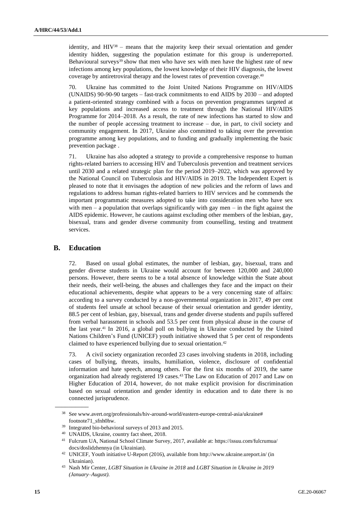identity, and HIV<sup>38</sup> – means that the majority keep their sexual orientation and gender identity hidden, suggesting the population estimate for this group is underreported. Behavioural surveys<sup>39</sup> show that men who have sex with men have the highest rate of new infections among key populations, the lowest knowledge of their HIV diagnosis, the lowest coverage by antiretroviral therapy and the lowest rates of prevention coverage.<sup>40</sup>

70. Ukraine has committed to the Joint United Nations Programme on HIV/AIDS (UNAIDS) 90-90-90 targets – fast-track commitments to end AIDS by 2030 – and adopted a patient-oriented strategy combined with a focus on prevention programmes targeted at key populations and increased access to treatment through the National HIV/AIDS Programme for 2014–2018. As a result, the rate of new infections has started to slow and the number of people accessing treatment to increase – due, in part, to civil society and community engagement. In 2017, Ukraine also committed to taking over the prevention programme among key populations, and to funding and gradually implementing the basic prevention package .

71. Ukraine has also adopted a strategy to provide a comprehensive response to human rights-related barriers to accessing HIV and Tuberculosis prevention and treatment services until 2030 and a related strategic plan for the period 2019–2022, which was approved by the National Council on Tuberculosis and HIV/AIDS in 2019. The Independent Expert is pleased to note that it envisages the adoption of new policies and the reform of laws and regulations to address human rights-related barriers to HIV services and he commends the important programmatic measures adopted to take into consideration men who have sex with men – a population that overlaps significantly with gay men – in the fight against the AIDS epidemic. However, he cautions against excluding other members of the lesbian, gay, bisexual, trans and gender diverse community from counselling, testing and treatment services.

#### **B. Education**

 $\overline{\phantom{a}}$ 

72. Based on usual global estimates, the number of lesbian, gay, bisexual, trans and gender diverse students in Ukraine would account for between 120,000 and 240,000 persons. However, there seems to be a total absence of knowledge within the State about their needs, their well-being, the abuses and challenges they face and the impact on their educational achievements, despite what appears to be a very concerning state of affairs: according to a survey conducted by a non-governmental organization in 2017, 49 per cent of students feel unsafe at school because of their sexual orientation and gender identity, 88.5 per cent of lesbian, gay, bisexual, trans and gender diverse students and pupils suffered from verbal harassment in schools and 53.5 per cent from physical abuse in the course of the last year.<sup>41</sup> In 2016, a global poll on bullying in Ukraine conducted by the United Nations Children's Fund (UNICEF) youth initiative showed that 5 per cent of respondents claimed to have experienced bullying due to sexual orientation.<sup>42</sup>

73. A civil society organization recorded 23 cases involving students in 2018, including cases of bullying, threats, insults, humiliation, violence, disclosure of confidential information and hate speech, among others. For the first six months of 2019, the same organization had already registered 19 cases.<sup>43</sup> The Law on Education of 2017 and Law on Higher Education of 2014, however, do not make explicit provision for discrimination based on sexual orientation and gender identity in education and to date there is no connected jurisprudence.

<sup>38</sup> See www.avert.org/professionals/hiv-around-world/eastern-europe-central-asia/ukraine# footnote71\_sfnh0hw.

<sup>39</sup> Integrated bio-behavioral surveys of 2013 and 2015.

<sup>40</sup> UNAIDS, Ukraine, country fact sheet, 2018.

<sup>41</sup> Fulcrum UA, National School Climate Survey, 2017, available at[: https://issuu.com/fulcrumua/](https://issuu.com/fulcrumua/docs/doslidzhennya) [docs/doslidzhennya](https://issuu.com/fulcrumua/docs/doslidzhennya) (in Ukrainian).

<sup>42</sup> UNICEF, Youth initiative U-Report (2016), available fro[m http://www.ukraine.ureport.in/](http://www.ukraine.ureport.in/) (in Ukrainian).

<sup>43</sup> Nash Mir Center, *LGBT Situation in Ukraine in 2018* and *LGBT Situation in Ukraine in 2019 (January–August)*.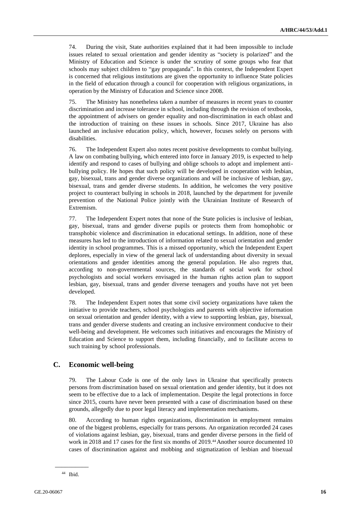74. During the visit, State authorities explained that it had been impossible to include issues related to sexual orientation and gender identity as "society is polarized" and the Ministry of Education and Science is under the scrutiny of some groups who fear that schools may subject children to "gay propaganda". In this context, the Independent Expert is concerned that religious institutions are given the opportunity to influence State policies in the field of education through a council for cooperation with religious organizations, in operation by the Ministry of Education and Science since 2008.

75. The Ministry has nonetheless taken a number of measures in recent years to counter discrimination and increase tolerance in school, including through the revision of textbooks, the appointment of advisers on gender equality and non-discrimination in each oblast and the introduction of training on these issues in schools. Since 2017, Ukraine has also launched an inclusive education policy, which, however, focuses solely on persons with disabilities.

76. The Independent Expert also notes recent positive developments to combat bullying. A law on combating bullying, which entered into force in January 2019, is expected to help identify and respond to cases of bullying and oblige schools to adopt and implement antibullying policy. He hopes that such policy will be developed in cooperation with lesbian, gay, bisexual, trans and gender diverse organizations and will be inclusive of lesbian, gay, bisexual, trans and gender diverse students. In addition, he welcomes the very positive project to counteract bullying in schools in 2018, launched by the department for juvenile prevention of the National Police jointly with the Ukrainian Institute of Research of Extremism.

77. The Independent Expert notes that none of the State policies is inclusive of lesbian, gay, bisexual, trans and gender diverse pupils or protects them from homophobic or transphobic violence and discrimination in educational settings. In addition, none of these measures has led to the introduction of information related to sexual orientation and gender identity in school programmes. This is a missed opportunity, which the Independent Expert deplores, especially in view of the general lack of understanding about diversity in sexual orientations and gender identities among the general population. He also regrets that, according to non-governmental sources, the standards of social work for school psychologists and social workers envisaged in the human rights action plan to support lesbian, gay, bisexual, trans and gender diverse teenagers and youths have not yet been developed.

78. The Independent Expert notes that some civil society organizations have taken the initiative to provide teachers, school psychologists and parents with objective information on sexual orientation and gender identity, with a view to supporting lesbian, gay, bisexual, trans and gender diverse students and creating an inclusive environment conducive to their well-being and development. He welcomes such initiatives and encourages the Ministry of Education and Science to support them, including financially, and to facilitate access to such training by school professionals.

### **C. Economic well-being**

79. The Labour Code is one of the only laws in Ukraine that specifically protects persons from discrimination based on sexual orientation and gender identity, but it does not seem to be effective due to a lack of implementation. Despite the legal protections in force since 2015, courts have never been presented with a case of discrimination based on these grounds, allegedly due to poor legal literacy and implementation mechanisms.

80. According to human rights organizations, discrimination in employment remains one of the biggest problems, especially for trans persons. An organization recorded 24 cases of violations against lesbian, gay, bisexual, trans and gender diverse persons in the field of work in 2018 and 17 cases for the first six months of 2019.<sup>44</sup> Another source documented 10 cases of discrimination against and mobbing and stigmatization of lesbian and bisexual

 $\overline{\phantom{a}}$   $\overline{\phantom{a}}$ <sup>44</sup> Ibid.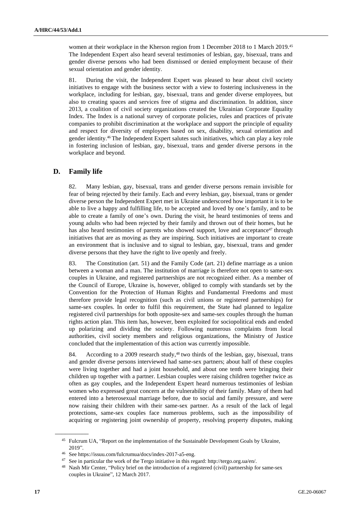women at their workplace in the Kherson region from 1 December 2018 to 1 March 2019.<sup>45</sup> The Independent Expert also heard several testimonies of lesbian, gay, bisexual, trans and gender diverse persons who had been dismissed or denied employment because of their sexual orientation and gender identity.

81. During the visit, the Independent Expert was pleased to hear about civil society initiatives to engage with the business sector with a view to fostering inclusiveness in the workplace, including for lesbian, gay, bisexual, trans and gender diverse employees, but also to creating spaces and services free of stigma and discrimination. In addition, since 2013, a coalition of civil society organizations created the Ukrainian Corporate Equality Index. The Index is a national survey of corporate policies, rules and practices of private companies to prohibit discrimination at the workplace and support the principle of equality and respect for diversity of employees based on sex, disability, sexual orientation and gender identity.<sup>46</sup> The Independent Expert salutes such initiatives, which can play a key role in fostering inclusion of lesbian, gay, bisexual, trans and gender diverse persons in the workplace and beyond.

## **D. Family life**

82. Many lesbian, gay, bisexual, trans and gender diverse persons remain invisible for fear of being rejected by their family. Each and every lesbian, gay, bisexual, trans or gender diverse person the Independent Expert met in Ukraine underscored how important it is to be able to live a happy and fulfilling life, to be accepted and loved by one's family, and to be able to create a family of one's own. During the visit, he heard testimonies of teens and young adults who had been rejected by their family and thrown out of their homes, but he has also heard testimonies of parents who showed support, love and acceptance<sup>47</sup> through initiatives that are as moving as they are inspiring. Such initiatives are important to create an environment that is inclusive and to signal to lesbian, gay, bisexual, trans and gender diverse persons that they have the right to live openly and freely.

83. The Constitution (art. 51) and the Family Code (art. 21) define marriage as a union between a woman and a man. The institution of marriage is therefore not open to same-sex couples in Ukraine, and registered partnerships are not recognized either. As a member of the Council of Europe, Ukraine is, however, obliged to comply with standards set by the Convention for the Protection of Human Rights and Fundamental Freedoms and must therefore provide legal recognition (such as civil unions or registered partnerships) for same-sex couples. In order to fulfil this requirement, the State had planned to legalize registered civil partnerships for both opposite-sex and same-sex couples through the human rights action plan. This item has, however, been exploited for sociopolitical ends and ended up polarizing and dividing the society. Following numerous complaints from local authorities, civil society members and religious organizations, the Ministry of Justice concluded that the implementation of this action was currently impossible.

84. According to a 2009 research study,<sup>48</sup> two thirds of the lesbian, gay, bisexual, trans and gender diverse persons interviewed had same-sex partners; about half of these couples were living together and had a joint household, and about one tenth were bringing their children up together with a partner. Lesbian couples were raising children together twice as often as gay couples, and the Independent Expert heard numerous testimonies of lesbian women who expressed great concern at the vulnerability of their family. Many of them had entered into a heterosexual marriage before, due to social and family pressure, and were now raising their children with their same-sex partner. As a result of the lack of legal protections, same-sex couples face numerous problems, such as the impossibility of acquiring or registering joint ownership of property, resolving property disputes, making

<sup>45</sup> Fulcrum UA, "Report on the implementation of the Sustainable Development Goals by Ukraine, 2019".

<sup>&</sup>lt;sup>46</sup> See [https://issuu.com/fulcrumua/docs/index-2017-a5-eng.](https://issuu.com/fulcrumua/docs/index-2017-a5-eng)<br><sup>47</sup> See in porticular the work of the Terms initiative in this re-

See in particular the work of the Tergo initiative in this regard: http://tergo.org.ua/en/.

<sup>48</sup> Nash Mir Center, "Policy brief on the introduction of a registered (civil) partnership for same-sex couples in Ukraine", 12 March 2017.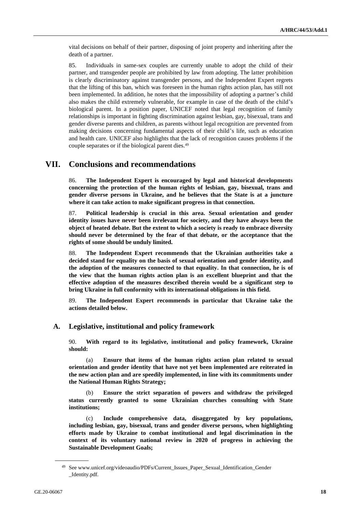vital decisions on behalf of their partner, disposing of joint property and inheriting after the death of a partner.

85. Individuals in same-sex couples are currently unable to adopt the child of their partner, and transgender people are prohibited by law from adopting. The latter prohibition is clearly discriminatory against transgender persons, and the Independent Expert regrets that the lifting of this ban, which was foreseen in the human rights action plan, has still not been implemented. In addition, he notes that the impossibility of adopting a partner's child also makes the child extremely vulnerable, for example in case of the death of the child's biological parent. In a position paper, UNICEF noted that legal recognition of family relationships is important in fighting discrimination against lesbian, gay, bisexual, trans and gender diverse parents and children, as parents without legal recognition are prevented from making decisions concerning fundamental aspects of their child's life, such as education and health care. UNICEF also highlights that the lack of recognition causes problems if the couple separates or if the biological parent dies.<sup>49</sup>

# **VII. Conclusions and recommendations**

86. **The Independent Expert is encouraged by legal and historical developments concerning the protection of the human rights of lesbian, gay, bisexual, trans and gender diverse persons in Ukraine, and he believes that the State is at a juncture where it can take action to make significant progress in that connection.**

87. **Political leadership is crucial in this area. Sexual orientation and gender identity issues have never been irrelevant for society, and they have always been the object of heated debate. But the extent to which a society is ready to embrace diversity should never be determined by the fear of that debate, or the acceptance that the rights of some should be unduly limited.**

88. **The Independent Expert recommends that the Ukrainian authorities take a decided stand for equality on the basis of sexual orientation and gender identity, and the adoption of the measures connected to that equality. In that connection, he is of the view that the human rights action plan is an excellent blueprint and that the effective adoption of the measures described therein would be a significant step to bring Ukraine in full conformity with its international obligations in this field.** 

89. **The Independent Expert recommends in particular that Ukraine take the actions detailed below.** 

#### **A. Legislative, institutional and policy framework**

90. **With regard to its legislative, institutional and policy framework, Ukraine should:**

(a) **Ensure that items of the human rights action plan related to sexual orientation and gender identity that have not yet been implemented are reiterated in the new action plan and are speedily implemented, in line with its commitments under the National Human Rights Strategy;**

(b) **Ensure the strict separation of powers and withdraw the privileged status currently granted to some Ukrainian churches consulting with State institutions;**

(c) **Include comprehensive data, disaggregated by key populations, including lesbian, gay, bisexual, trans and gender diverse persons, when highlighting efforts made by Ukraine to combat institutional and legal discrimination in the context of its voluntary national review in 2020 of progress in achieving the Sustainable Development Goals;**

<sup>49</sup> Se[e www.unicef.org/videoaudio/PDFs/Current\\_Issues\\_Paper\\_Sexual\\_Identification\\_Gender](http://www.unicef.org/videoaudio/PDFs/Current_Issues_Paper-_Sexual_Identification_Gender_Identity.pdf) [\\_Identity.pdf.](http://www.unicef.org/videoaudio/PDFs/Current_Issues_Paper-_Sexual_Identification_Gender_Identity.pdf)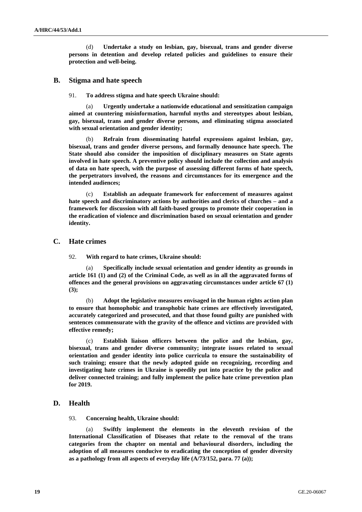(d) **Undertake a study on lesbian, gay, bisexual, trans and gender diverse persons in detention and develop related policies and guidelines to ensure their protection and well-being.** 

### **B. Stigma and hate speech**

#### 91. **To address stigma and hate speech Ukraine should:**

(a) **Urgently undertake a nationwide educational and sensitization campaign aimed at countering misinformation, harmful myths and stereotypes about lesbian, gay, bisexual, trans and gender diverse persons, and eliminating stigma associated with sexual orientation and gender identity;** 

(b) **Refrain from disseminating hateful expressions against lesbian, gay, bisexual, trans and gender diverse persons, and formally denounce hate speech. The State should also consider the imposition of disciplinary measures on State agents involved in hate speech. A preventive policy should include the collection and analysis of data on hate speech, with the purpose of assessing different forms of hate speech, the perpetrators involved, the reasons and circumstances for its emergence and the intended audiences;**

(c) **Establish an adequate framework for enforcement of measures against hate speech and discriminatory actions by authorities and clerics of churches – and a framework for discussion with all faith-based groups to promote their cooperation in the eradication of violence and discrimination based on sexual orientation and gender identity.**

#### **C. Hate crimes**

92. **With regard to hate crimes, Ukraine should:**

(a) **Specifically include sexual orientation and gender identity as grounds in article 161 (1) and (2) of the Criminal Code, as well as in all the aggravated forms of offences and the general provisions on aggravating circumstances under article 67 (1) (3);**

(b) **Adopt the legislative measures envisaged in the human rights action plan to ensure that homophobic and transphobic hate crimes are effectively investigated, accurately categorized and prosecuted, and that those found guilty are punished with sentences commensurate with the gravity of the offence and victims are provided with effective remedy;**

Establish liaison officers between the police and the lesbian, gay, **bisexual, trans and gender diverse community; integrate issues related to sexual orientation and gender identity into police curricula to ensure the sustainability of such training; ensure that the newly adopted guide on recognizing, recording and investigating hate crimes in Ukraine is speedily put into practice by the police and deliver connected training; and fully implement the police hate crime prevention plan for 2019.**

#### **D. Health**

93. **Concerning health, Ukraine should:**

(a) **Swiftly implement the elements in the eleventh revision of the International Classification of Diseases that relate to the removal of the trans categories from the chapter on mental and behavioural disorders, including the adoption of all measures conducive to eradicating the conception of gender diversity as a pathology from all aspects of everyday life (A/73/152, para. 77 (a));**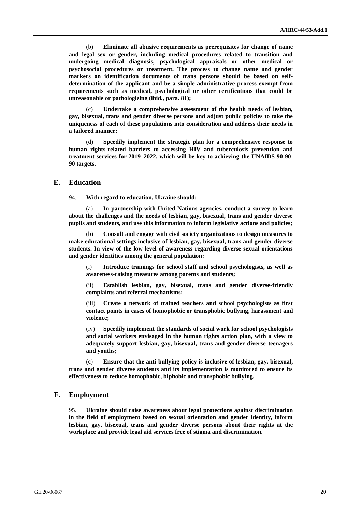(b) **Eliminate all abusive requirements as prerequisites for change of name and legal sex or gender, including medical procedures related to transition and undergoing medical diagnosis, psychological appraisals or other medical or psychosocial procedures or treatment. The process to change name and gender markers on identification documents of trans persons should be based on selfdetermination of the applicant and be a simple administrative process exempt from requirements such as medical, psychological or other certifications that could be unreasonable or pathologizing (ibid., para. 81);** 

(c) **Undertake a comprehensive assessment of the health needs of lesbian, gay, bisexual, trans and gender diverse persons and adjust public policies to take the uniqueness of each of these populations into consideration and address their needs in a tailored manner;**

(d) **Speedily implement the strategic plan for a comprehensive response to human rights-related barriers to accessing HIV and tuberculosis prevention and treatment services for 2019–2022, which will be key to achieving the UNAIDS 90-90- 90 targets.**

#### **E. Education**

94. **With regard to education, Ukraine should:**

(a) **In partnership with United Nations agencies, conduct a survey to learn about the challenges and the needs of lesbian, gay, bisexual, trans and gender diverse pupils and students, and use this information to inform legislative actions and policies;**

(b) **Consult and engage with civil society organizations to design measures to make educational settings inclusive of lesbian, gay, bisexual, trans and gender diverse students. In view of the low level of awareness regarding diverse sexual orientations and gender identities among the general population:** 

(i) **Introduce trainings for school staff and school psychologists, as well as awareness-raising measures among parents and students;** 

(ii) **Establish lesbian, gay, bisexual, trans and gender diverse-friendly complaints and referral mechanisms;**

Create a network of trained teachers and school psychologists as first **contact points in cases of homophobic or transphobic bullying, harassment and violence;** 

(iv) **Speedily implement the standards of social work for school psychologists and social workers envisaged in the human rights action plan, with a view to adequately support lesbian, gay, bisexual, trans and gender diverse teenagers and youths;**

(c) **Ensure that the anti-bullying policy is inclusive of lesbian, gay, bisexual, trans and gender diverse students and its implementation is monitored to ensure its effectiveness to reduce homophobic, biphobic and transphobic bullying.**

## **F. Employment**

95. **Ukraine should raise awareness about legal protections against discrimination in the field of employment based on sexual orientation and gender identity, inform lesbian, gay, bisexual, trans and gender diverse persons about their rights at the workplace and provide legal aid services free of stigma and discrimination.**